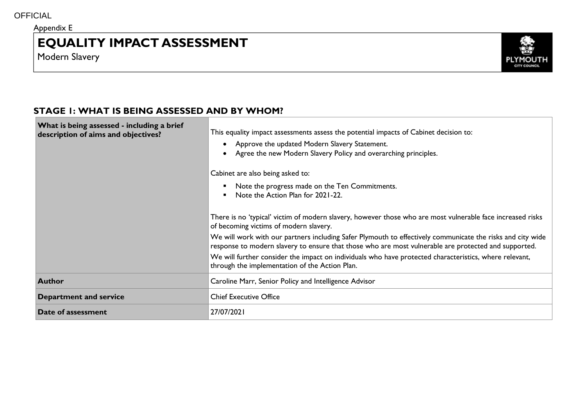Appendix E

# **EQUALITY IMPACT ASSESSMENT**

Modern Slavery



## **STAGE 1: WHAT IS BEING ASSESSED AND BY WHOM?**

| What is being assessed - including a brief<br>description of aims and objectives? | This equality impact assessments assess the potential impacts of Cabinet decision to:<br>• Approve the updated Modern Slavery Statement.<br>Agree the new Modern Slavery Policy and overarching principles.<br>$\bullet$<br>Cabinet are also being asked to:<br>Note the progress made on the Ten Commitments.<br>Note the Action Plan for 2021-22. |
|-----------------------------------------------------------------------------------|-----------------------------------------------------------------------------------------------------------------------------------------------------------------------------------------------------------------------------------------------------------------------------------------------------------------------------------------------------|
|                                                                                   | There is no 'typical' victim of modern slavery, however those who are most vulnerable face increased risks<br>of becoming victims of modern slavery.                                                                                                                                                                                                |
|                                                                                   | We will work with our partners including Safer Plymouth to effectively communicate the risks and city wide<br>response to modern slavery to ensure that those who are most vulnerable are protected and supported.                                                                                                                                  |
|                                                                                   | We will further consider the impact on individuals who have protected characteristics, where relevant,<br>through the implementation of the Action Plan.                                                                                                                                                                                            |
| <b>Author</b>                                                                     | Caroline Marr, Senior Policy and Intelligence Advisor                                                                                                                                                                                                                                                                                               |
| <b>Department and service</b>                                                     | <b>Chief Executive Office</b>                                                                                                                                                                                                                                                                                                                       |
| Date of assessment                                                                | 27/07/2021                                                                                                                                                                                                                                                                                                                                          |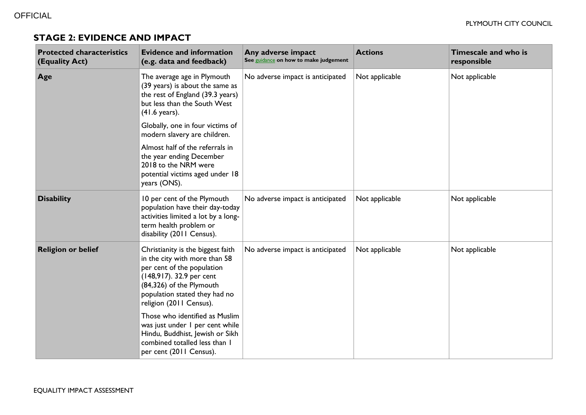#### **STAGE 2: EVIDENCE AND IMPACT**

| <b>Protected characteristics</b><br>(Equality Act) | <b>Evidence and information</b><br>(e.g. data and feedback)                                                                                                                                                          | Any adverse impact<br>See guidance on how to make judgement | <b>Actions</b> | Timescale and who is<br>responsible |
|----------------------------------------------------|----------------------------------------------------------------------------------------------------------------------------------------------------------------------------------------------------------------------|-------------------------------------------------------------|----------------|-------------------------------------|
| Age                                                | The average age in Plymouth<br>(39 years) is about the same as<br>the rest of England (39.3 years)<br>but less than the South West<br>$(41.6 \text{ years}).$                                                        | No adverse impact is anticipated                            | Not applicable | Not applicable                      |
|                                                    | Globally, one in four victims of<br>modern slavery are children.                                                                                                                                                     |                                                             |                |                                     |
|                                                    | Almost half of the referrals in<br>the year ending December<br>2018 to the NRM were<br>potential victims aged under 18<br>years (ONS).                                                                               |                                                             |                |                                     |
| <b>Disability</b>                                  | 10 per cent of the Plymouth<br>population have their day-today<br>activities limited a lot by a long-<br>term health problem or<br>disability (2011 Census).                                                         | No adverse impact is anticipated                            | Not applicable | Not applicable                      |
| <b>Religion or belief</b>                          | Christianity is the biggest faith<br>in the city with more than 58<br>per cent of the population<br>(148,917). 32.9 per cent<br>(84,326) of the Plymouth<br>population stated they had no<br>religion (2011 Census). | No adverse impact is anticipated                            | Not applicable | Not applicable                      |
|                                                    | Those who identified as Muslim<br>was just under I per cent while<br>Hindu, Buddhist, Jewish or Sikh<br>combined totalled less than I<br>per cent (2011 Census).                                                     |                                                             |                |                                     |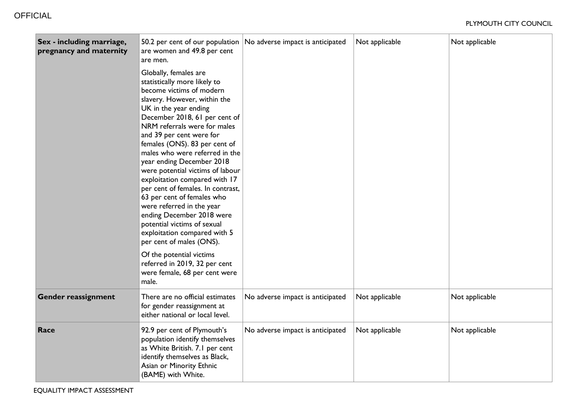| Sex - including marriage,<br>pregnancy and maternity | 50.2 per cent of our population<br>are women and 49.8 per cent<br>are men.                                                                                                                                                                                                                                                                                                                                                                                                                                                                                                                                                           | No adverse impact is anticipated | Not applicable | Not applicable |
|------------------------------------------------------|--------------------------------------------------------------------------------------------------------------------------------------------------------------------------------------------------------------------------------------------------------------------------------------------------------------------------------------------------------------------------------------------------------------------------------------------------------------------------------------------------------------------------------------------------------------------------------------------------------------------------------------|----------------------------------|----------------|----------------|
|                                                      | Globally, females are<br>statistically more likely to<br>become victims of modern<br>slavery. However, within the<br>UK in the year ending<br>December 2018, 61 per cent of<br>NRM referrals were for males<br>and 39 per cent were for<br>females (ONS). 83 per cent of<br>males who were referred in the<br>year ending December 2018<br>were potential victims of labour<br>exploitation compared with 17<br>per cent of females. In contrast,<br>63 per cent of females who<br>were referred in the year<br>ending December 2018 were<br>potential victims of sexual<br>exploitation compared with 5<br>per cent of males (ONS). |                                  |                |                |
|                                                      | Of the potential victims<br>referred in 2019, 32 per cent<br>were female, 68 per cent were<br>male.                                                                                                                                                                                                                                                                                                                                                                                                                                                                                                                                  |                                  |                |                |
| <b>Gender reassignment</b>                           | There are no official estimates<br>for gender reassignment at<br>either national or local level.                                                                                                                                                                                                                                                                                                                                                                                                                                                                                                                                     | No adverse impact is anticipated | Not applicable | Not applicable |
| Race                                                 | 92.9 per cent of Plymouth's<br>population identify themselves<br>as White British. 7.1 per cent<br>identify themselves as Black,<br>Asian or Minority Ethnic<br>(BAME) with White.                                                                                                                                                                                                                                                                                                                                                                                                                                                   | No adverse impact is anticipated | Not applicable | Not applicable |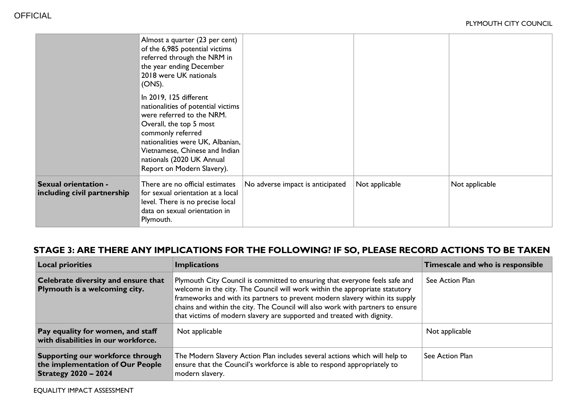|                                                     | Almost a quarter (23 per cent)<br>of the 6,985 potential victims<br>referred through the NRM in<br>the year ending December<br>2018 were UK nationals<br>(ONS).                                                                                                            |                                  |                |                |
|-----------------------------------------------------|----------------------------------------------------------------------------------------------------------------------------------------------------------------------------------------------------------------------------------------------------------------------------|----------------------------------|----------------|----------------|
|                                                     | In 2019, 125 different<br>nationalities of potential victims<br>were referred to the NRM.<br>Overall, the top 5 most<br>commonly referred<br>nationalities were UK, Albanian,<br>Vietnamese, Chinese and Indian<br>nationals (2020 UK Annual<br>Report on Modern Slavery). |                                  |                |                |
| Sexual orientation -<br>including civil partnership | There are no official estimates<br>for sexual orientation at a local<br>level. There is no precise local<br>data on sexual orientation in<br>Plymouth.                                                                                                                     | No adverse impact is anticipated | Not applicable | Not applicable |

# **STAGE 3: ARE THERE ANY IMPLICATIONS FOR THE FOLLOWING? IF SO, PLEASE RECORD ACTIONS TO BE TAKEN**

| <b>Local priorities</b>                                                                             | <b>Implications</b>                                                                                                                                                                                                                                                                                                                                                                                    | Timescale and who is responsible |
|-----------------------------------------------------------------------------------------------------|--------------------------------------------------------------------------------------------------------------------------------------------------------------------------------------------------------------------------------------------------------------------------------------------------------------------------------------------------------------------------------------------------------|----------------------------------|
| Celebrate diversity and ensure that<br>Plymouth is a welcoming city.                                | Plymouth City Council is committed to ensuring that everyone feels safe and<br>welcome in the city. The Council will work within the appropriate statutory<br>frameworks and with its partners to prevent modern slavery within its supply<br>chains and within the city. The Council will also work with partners to ensure<br>that victims of modern slavery are supported and treated with dignity. | See Action Plan                  |
| Pay equality for women, and staff<br>with disabilities in our workforce.                            | Not applicable                                                                                                                                                                                                                                                                                                                                                                                         | Not applicable                   |
| Supporting our workforce through<br>the implementation of Our People<br><b>Strategy 2020 - 2024</b> | The Modern Slavery Action Plan includes several actions which will help to<br>ensure that the Council's workforce is able to respond appropriately to<br>modern slavery.                                                                                                                                                                                                                               | See Action Plan                  |